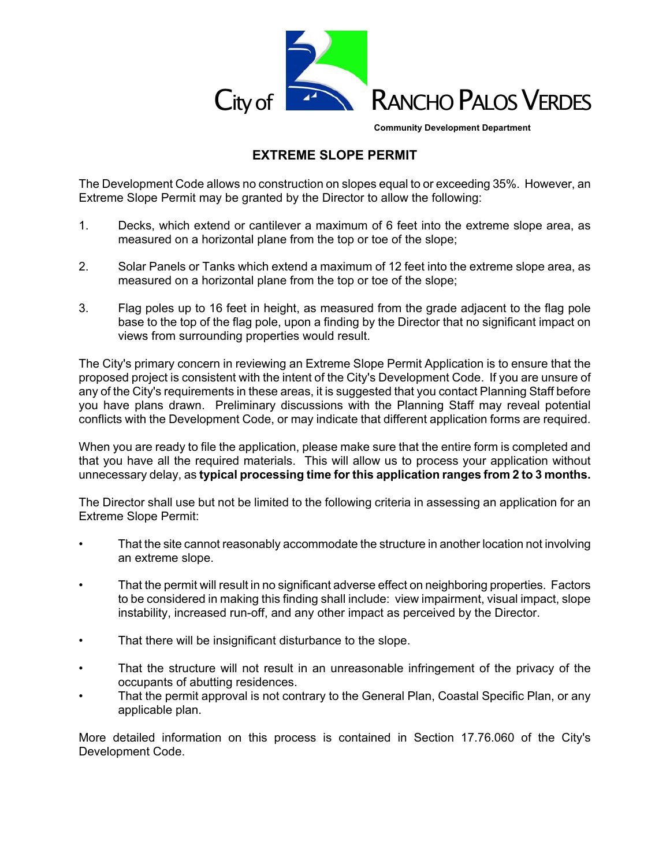

**Community Development Department**

# **EXTREME SLOPE PERMIT**

The Development Code allows no construction on slopes equal to or exceeding 35%. However, an Extreme Slope Permit may be granted by the Director to allow the following:

- 1. Decks, which extend or cantilever a maximum of 6 feet into the extreme slope area, as measured on a horizontal plane from the top or toe of the slope;
- 2. Solar Panels or Tanks which extend a maximum of 12 feet into the extreme slope area, as measured on a horizontal plane from the top or toe of the slope;
- 3. Flag poles up to 16 feet in height, as measured from the grade adjacent to the flag pole base to the top of the flag pole, upon a finding by the Director that no significant impact on views from surrounding properties would result.

The City's primary concern in reviewing an Extreme Slope Permit Application is to ensure that the proposed project is consistent with the intent of the City's Development Code. If you are unsure of any of the City's requirements in these areas, it is suggested that you contact Planning Staff before you have plans drawn. Preliminary discussions with the Planning Staff may reveal potential conflicts with the Development Code, or may indicate that different application forms are required.

When you are ready to file the application, please make sure that the entire form is completed and that you have all the required materials. This will allow us to process your application without unnecessary delay, as **typical processing time for this application ranges from 2 to 3 months.** 

The Director shall use but not be limited to the following criteria in assessing an application for an Extreme Slope Permit:

- That the site cannot reasonably accommodate the structure in another location not involving an extreme slope.
- That the permit will result in no significant adverse effect on neighboring properties. Factors to be considered in making this finding shall include: view impairment, visual impact, slope instability, increased run-off, and any other impact as perceived by the Director.
- That there will be insignificant disturbance to the slope.
- That the structure will not result in an unreasonable infringement of the privacy of the occupants of abutting residences.
- That the permit approval is not contrary to the General Plan, Coastal Specific Plan, or any applicable plan.

More detailed information on this process is contained in Section 17.76.060 of the City's Development Code.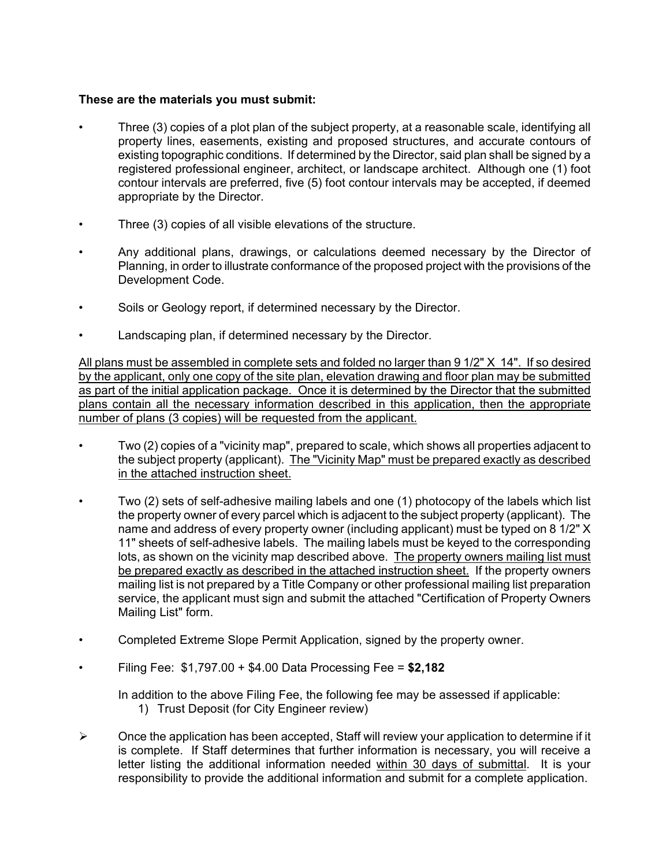### **These are the materials you must submit:**

- Three (3) copies of a plot plan of the subject property, at a reasonable scale, identifying all property lines, easements, existing and proposed structures, and accurate contours of existing topographic conditions. If determined by the Director, said plan shall be signed by a registered professional engineer, architect, or landscape architect. Although one (1) foot contour intervals are preferred, five (5) foot contour intervals may be accepted, if deemed appropriate by the Director.
- Three (3) copies of all visible elevations of the structure.
- Any additional plans, drawings, or calculations deemed necessary by the Director of Planning, in order to illustrate conformance of the proposed project with the provisions of the Development Code.
- Soils or Geology report, if determined necessary by the Director.
- Landscaping plan, if determined necessary by the Director.

All plans must be assembled in complete sets and folded no larger than 9 1/2" X 14". If so desired by the applicant, only one copy of the site plan, elevation drawing and floor plan may be submitted as part of the initial application package. Once it is determined by the Director that the submitted plans contain all the necessary information described in this application, then the appropriate number of plans (3 copies) will be requested from the applicant.

- Two (2) copies of a "vicinity map", prepared to scale, which shows all properties adjacent to the subject property (applicant). The "Vicinity Map" must be prepared exactly as described in the attached instruction sheet.
- Two (2) sets of self-adhesive mailing labels and one (1) photocopy of the labels which list the property owner of every parcel which is adjacent to the subject property (applicant). The name and address of every property owner (including applicant) must be typed on 8 1/2" X 11" sheets of self-adhesive labels. The mailing labels must be keyed to the corresponding lots, as shown on the vicinity map described above. The property owners mailing list must be prepared exactly as described in the attached instruction sheet. If the property owners mailing list is not prepared by a Title Company or other professional mailing list preparation service, the applicant must sign and submit the attached "Certification of Property Owners Mailing List" form.
- Completed Extreme Slope Permit Application, signed by the property owner.
- Filing Fee: \$1,797.00 + \$4.00 Data Processing Fee = **\$2,182**

In addition to the above Filing Fee, the following fee may be assessed if applicable:

- 1) Trust Deposit (for City Engineer review)
- $\triangleright$  Once the application has been accepted, Staff will review your application to determine if it is complete. If Staff determines that further information is necessary, you will receive a letter listing the additional information needed within 30 days of submittal. It is your responsibility to provide the additional information and submit for a complete application.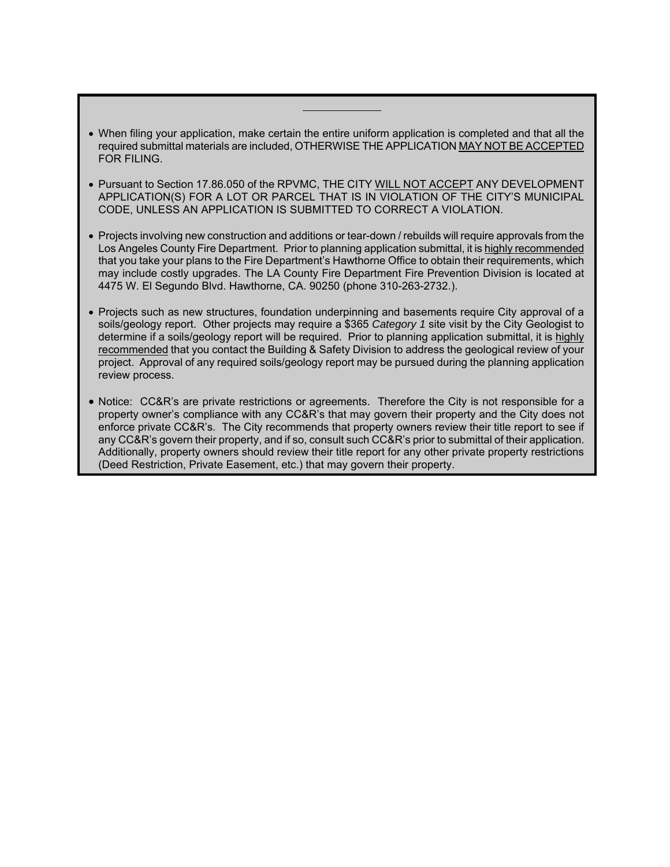- When filing your application, make certain the entire uniform application is completed and that all the required submittal materials are included, OTHERWISE THE APPLICATION MAY NOT BE ACCEPTED FOR FILING.
- Pursuant to Section 17.86.050 of the RPVMC, THE CITY WILL NOT ACCEPT ANY DEVELOPMENT APPLICATION(S) FOR A LOT OR PARCEL THAT IS IN VIOLATION OF THE CITY'S MUNICIPAL CODE, UNLESS AN APPLICATION IS SUBMITTED TO CORRECT A VIOLATION.
- Projects involving new construction and additions or tear-down / rebuilds will require approvals from the Los Angeles County Fire Department. Prior to planning application submittal, it is highly recommended that you take your plans to the Fire Department's Hawthorne Office to obtain their requirements, which may include costly upgrades. The LA County Fire Department Fire Prevention Division is located at 4475 W. El Segundo Blvd. Hawthorne, CA. 90250 (phone 310-263-2732.).
- Projects such as new structures, foundation underpinning and basements require City approval of a soils/geology report. Other projects may require a \$365 *Category 1* site visit by the City Geologist to determine if a soils/geology report will be required. Prior to planning application submittal, it is highly recommended that you contact the Building & Safety Division to address the geological review of your project. Approval of any required soils/geology report may be pursued during the planning application review process.
- Notice: CC&R's are private restrictions or agreements. Therefore the City is not responsible for a property owner's compliance with any CC&R's that may govern their property and the City does not enforce private CC&R's. The City recommends that property owners review their title report to see if any CC&R's govern their property, and if so, consult such CC&R's prior to submittal of their application. Additionally, property owners should review their title report for any other private property restrictions (Deed Restriction, Private Easement, etc.) that may govern their property.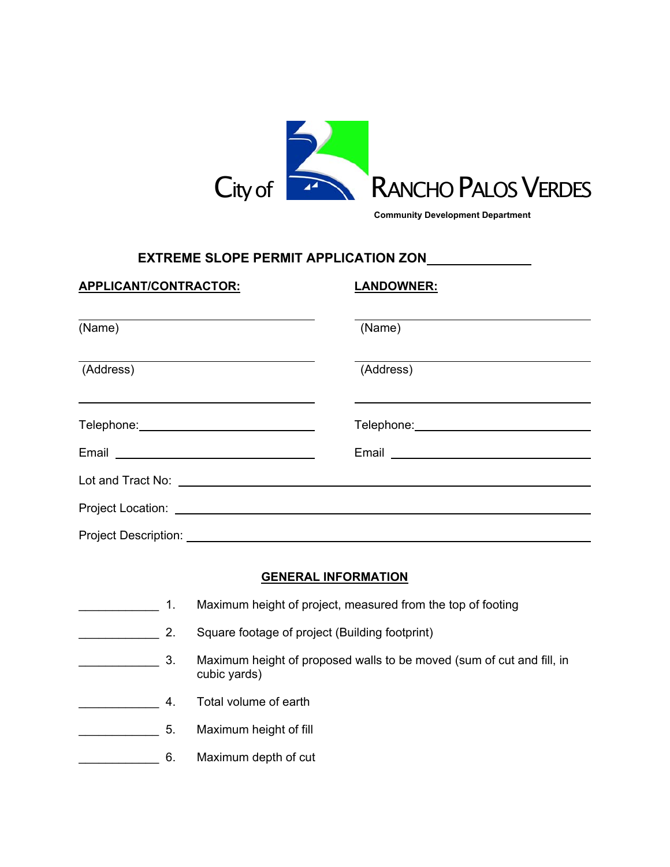

**Community Development Department**

### **EXTREME SLOPE PERMIT APPLICATION ZON**

| APPLICANT/CONTRACTOR:                                                                                                                                                                                                          | <b>LANDOWNER:</b>                             |
|--------------------------------------------------------------------------------------------------------------------------------------------------------------------------------------------------------------------------------|-----------------------------------------------|
| the contract of the contract of the contract of the contract of the contract of the contract of the contract of<br>(Name)                                                                                                      | (Name)                                        |
| (Address)                                                                                                                                                                                                                      | (Address)                                     |
| Telephone: _________________________________                                                                                                                                                                                   | Telephone: __________________________________ |
|                                                                                                                                                                                                                                |                                               |
| Lot and Tract No: the contract of the contract of the contract of the contract of the contract of the contract of the contract of the contract of the contract of the contract of the contract of the contract of the contract |                                               |
|                                                                                                                                                                                                                                |                                               |
| <b>Project Description:</b>                                                                                                                                                                                                    |                                               |

#### **GENERAL INFORMATION**

- **\_\_\_\_\_\_\_\_\_\_\_\_\_\_\_\_\_\_ 1.** Maximum height of project, measured from the top of footing
- **EXECUTE:** 2. Square footage of project (Building footprint)
	- **EXECUTE:** 3. Maximum height of proposed walls to be moved (sum of cut and fill, in cubic yards)
- \_\_\_\_\_\_\_\_\_\_\_\_ 4. Total volume of earth
- **Maximum height of fill** 5.
- \_\_\_\_\_\_\_\_\_\_\_\_ 6. Maximum depth of cut